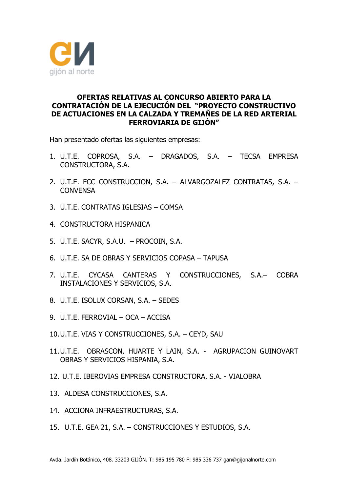

## **OFERTAS RELATIVAS AL CONCURSO ABIERTO PARA LA CONTRATACIÓN DE LA EJECUCIÓN DEL "PROYECTO CONSTRUCTIVO DE ACTUACIONES EN LA CALZADA Y TREMAÑES DE LA RED ARTERIAL FERROVIARIA DE GIJÓN"**

Han presentado ofertas las siguientes empresas:

- 1. U.T.E. COPROSA, S.A. DRAGADOS, S.A. TECSA EMPRESA CONSTRUCTORA, S.A.
- 2. U.T.E. FCC CONSTRUCCION, S.A. ALVARGOZALEZ CONTRATAS, S.A. **CONVENSA**
- 3. U.T.E. CONTRATAS IGLESIAS COMSA
- 4. CONSTRUCTORA HISPANICA
- 5. U.T.E. SACYR, S.A.U. PROCOIN, S.A.
- 6. U.T.E. SA DE OBRAS Y SERVICIOS COPASA TAPUSA
- 7. U.T.E. CYCASA CANTERAS Y CONSTRUCCIONES, S.A.– COBRA INSTALACIONES Y SERVICIOS, S.A.
- 8. U.T.E. ISOLUX CORSAN, S.A. SEDES
- 9. U.T.E. FERROVIAL OCA ACCISA
- 10.U.T.E. VIAS Y CONSTRUCCIONES, S.A. CEYD, SAU
- 11.U.T.E. OBRASCON, HUARTE Y LAIN, S.A. AGRUPACION GUINOVART OBRAS Y SERVICIOS HISPANIA, S.A.
- 12. U.T.E. IBEROVIAS EMPRESA CONSTRUCTORA, S.A. VIALOBRA
- 13. ALDESA CONSTRUCCIONES, S.A.
- 14. ACCIONA INFRAESTRUCTURAS, S.A.
- 15. U.T.E. GEA 21, S.A. CONSTRUCCIONES Y ESTUDIOS, S.A.